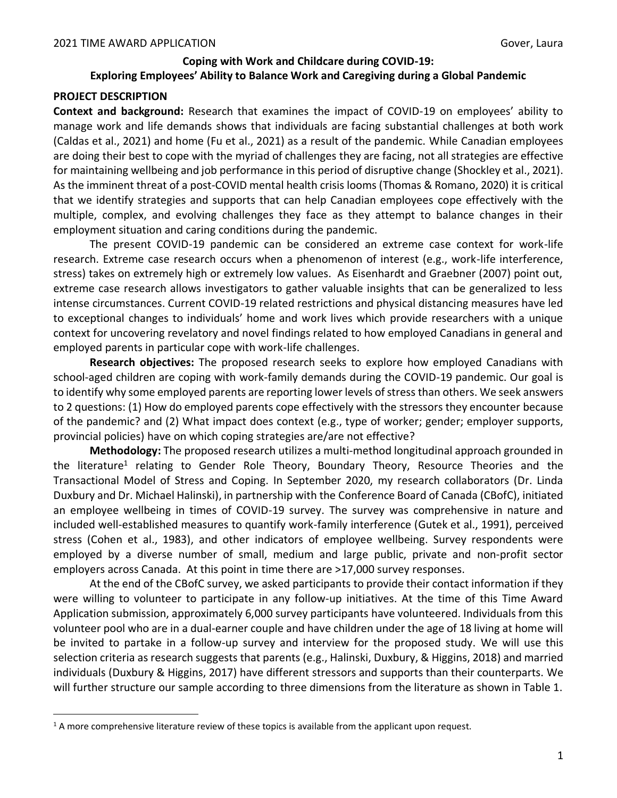# **Coping with Work and Childcare during COVID-19: Exploring Employees' Ability to Balance Work and Caregiving during a Global Pandemic**

# **PROJECT DESCRIPTION**

**Context and background:** Research that examines the impact of COVID-19 on employees' ability to manage work and life demands shows that individuals are facing substantial challenges at both work (Caldas et al., 2021) and home (Fu et al., 2021) as a result of the pandemic. While Canadian employees are doing their best to cope with the myriad of challenges they are facing, not all strategies are effective for maintaining wellbeing and job performance in this period of disruptive change (Shockley et al., 2021). As the imminent threat of a post-COVID mental health crisis looms (Thomas & Romano, 2020) it is critical that we identify strategies and supports that can help Canadian employees cope effectively with the multiple, complex, and evolving challenges they face as they attempt to balance changes in their employment situation and caring conditions during the pandemic.

The present COVID-19 pandemic can be considered an extreme case context for work-life research. Extreme case research occurs when a phenomenon of interest (e.g., work-life interference, stress) takes on extremely high or extremely low values. As Eisenhardt and Graebner (2007) point out, extreme case research allows investigators to gather valuable insights that can be generalized to less intense circumstances. Current COVID-19 related restrictions and physical distancing measures have led to exceptional changes to individuals' home and work lives which provide researchers with a unique context for uncovering revelatory and novel findings related to how employed Canadians in general and employed parents in particular cope with work-life challenges.

**Research objectives:** The proposed research seeks to explore how employed Canadians with school-aged children are coping with work-family demands during the COVID-19 pandemic. Our goal is to identify why some employed parents are reporting lower levels of stress than others. We seek answers to 2 questions: (1) How do employed parents cope effectively with the stressors they encounter because of the pandemic? and (2) What impact does context (e.g., type of worker; gender; employer supports, provincial policies) have on which coping strategies are/are not effective?

**Methodology:** The proposed research utilizes a multi-method longitudinal approach grounded in the literature<sup>1</sup> relating to Gender Role Theory, Boundary Theory, Resource Theories and the Transactional Model of Stress and Coping. In September 2020, my research collaborators (Dr. Linda Duxbury and Dr. Michael Halinski), in partnership with the Conference Board of Canada (CBofC), initiated an employee wellbeing in times of COVID-19 survey. The survey was comprehensive in nature and included well-established measures to quantify work-family interference (Gutek et al., 1991), perceived stress (Cohen et al., 1983), and other indicators of employee wellbeing. Survey respondents were employed by a diverse number of small, medium and large public, private and non-profit sector employers across Canada. At this point in time there are >17,000 survey responses.

At the end of the CBofC survey, we asked participants to provide their contact information if they were willing to volunteer to participate in any follow-up initiatives. At the time of this Time Award Application submission, approximately 6,000 survey participants have volunteered. Individuals from this volunteer pool who are in a dual-earner couple and have children under the age of 18 living at home will be invited to partake in a follow-up survey and interview for the proposed study. We will use this selection criteria as research suggests that parents (e.g., Halinski, Duxbury, & Higgins, 2018) and married individuals (Duxbury & Higgins, 2017) have different stressors and supports than their counterparts. We will further structure our sample according to three dimensions from the literature as shown in Table 1.

 $1$  A more comprehensive literature review of these topics is available from the applicant upon request.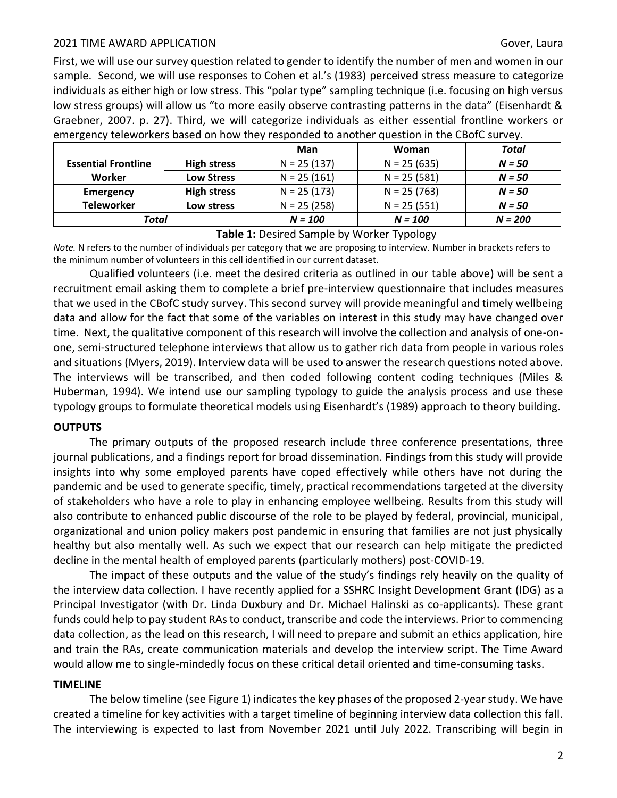### 2021 TIME AWARD APPLICATION Gover, Laura

First, we will use our survey question related to gender to identify the number of men and women in our sample. Second, we will use responses to Cohen et al.'s (1983) perceived stress measure to categorize individuals as either high or low stress. This "polar type" sampling technique (i.e. focusing on high versus low stress groups) will allow us "to more easily observe contrasting patterns in the data" (Eisenhardt & Graebner, 2007. p. 27). Third, we will categorize individuals as either essential frontline workers or emergency teleworkers based on how they responded to another question in the CBofC survey.

|                            |                    | Man           | <b>Woman</b>  | Total     |
|----------------------------|--------------------|---------------|---------------|-----------|
| <b>Essential Frontline</b> | <b>High stress</b> | $N = 25(137)$ | $N = 25(635)$ | $N = 50$  |
| Worker                     | <b>Low Stress</b>  | $N = 25(161)$ | $N = 25(581)$ | $N = 50$  |
| Emergency                  | <b>High stress</b> | $N = 25(173)$ | $N = 25(763)$ | $N = 50$  |
| <b>Teleworker</b>          | Low stress         | $N = 25(258)$ | $N = 25(551)$ | $N = 50$  |
| Total                      |                    | $N = 100$     | $N = 100$     | $N = 200$ |

**Table 1:** Desired Sample by Worker Typology

*Note.* N refers to the number of individuals per category that we are proposing to interview. Number in brackets refers to the minimum number of volunteers in this cell identified in our current dataset.

Qualified volunteers (i.e. meet the desired criteria as outlined in our table above) will be sent a recruitment email asking them to complete a brief pre-interview questionnaire that includes measures that we used in the CBofC study survey. This second survey will provide meaningful and timely wellbeing data and allow for the fact that some of the variables on interest in this study may have changed over time. Next, the qualitative component of this research will involve the collection and analysis of one-onone, semi-structured telephone interviews that allow us to gather rich data from people in various roles and situations (Myers, 2019). Interview data will be used to answer the research questions noted above. The interviews will be transcribed, and then coded following content coding techniques (Miles & Huberman, 1994). We intend use our sampling typology to guide the analysis process and use these typology groups to formulate theoretical models using Eisenhardt's (1989) approach to theory building.

### **OUTPUTS**

The primary outputs of the proposed research include three conference presentations, three journal publications, and a findings report for broad dissemination. Findings from this study will provide insights into why some employed parents have coped effectively while others have not during the pandemic and be used to generate specific, timely, practical recommendations targeted at the diversity of stakeholders who have a role to play in enhancing employee wellbeing. Results from this study will also contribute to enhanced public discourse of the role to be played by federal, provincial, municipal, organizational and union policy makers post pandemic in ensuring that families are not just physically healthy but also mentally well. As such we expect that our research can help mitigate the predicted decline in the mental health of employed parents (particularly mothers) post-COVID-19.

The impact of these outputs and the value of the study's findings rely heavily on the quality of the interview data collection. I have recently applied for a SSHRC Insight Development Grant (IDG) as a Principal Investigator (with Dr. Linda Duxbury and Dr. Michael Halinski as co-applicants). These grant funds could help to pay student RAs to conduct, transcribe and code the interviews. Prior to commencing data collection, as the lead on this research, I will need to prepare and submit an ethics application, hire and train the RAs, create communication materials and develop the interview script. The Time Award would allow me to single-mindedly focus on these critical detail oriented and time-consuming tasks.

### **TIMELINE**

The below timeline (see Figure 1) indicates the key phases of the proposed 2-year study. We have created a timeline for key activities with a target timeline of beginning interview data collection this fall. The interviewing is expected to last from November 2021 until July 2022. Transcribing will begin in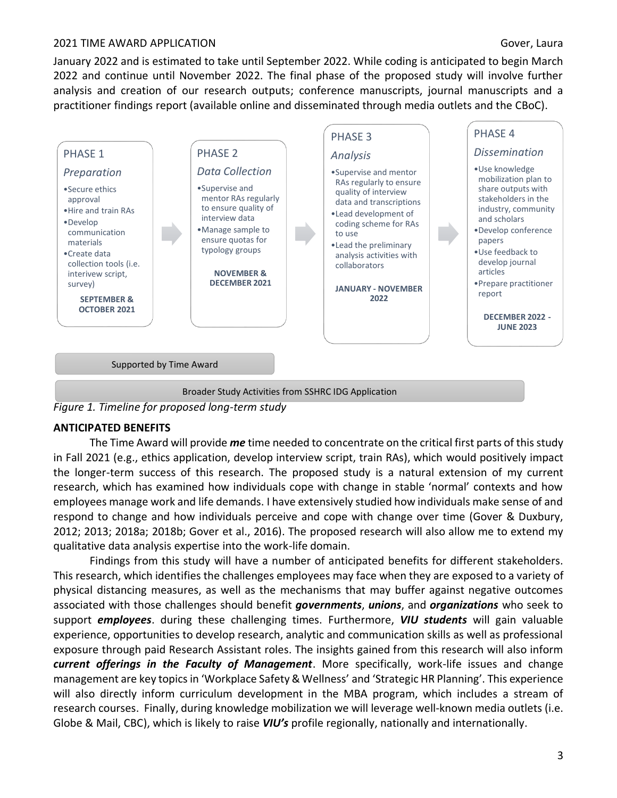### 2021 TIME AWARD APPLICATION Gover, Laura

January 2022 and is estimated to take until September 2022. While coding is anticipated to begin March 2022 and continue until November 2022. The final phase of the proposed study will involve further analysis and creation of our research outputs; conference manuscripts, journal manuscripts and a practitioner findings report (available online and disseminated through media outlets and the CBoC).



*Figure 1. Timeline for proposed long-term study*

# **ANTICIPATED BENEFITS**

The Time Award will provide *me* time needed to concentrate on the critical first parts of this study in Fall 2021 (e.g., ethics application, develop interview script, train RAs), which would positively impact the longer-term success of this research. The proposed study is a natural extension of my current research, which has examined how individuals cope with change in stable 'normal' contexts and how employees manage work and life demands. I have extensively studied how individuals make sense of and respond to change and how individuals perceive and cope with change over time (Gover & Duxbury, 2012; 2013; 2018a; 2018b; Gover et al., 2016). The proposed research will also allow me to extend my qualitative data analysis expertise into the work-life domain.

Findings from this study will have a number of anticipated benefits for different stakeholders. This research, which identifies the challenges employees may face when they are exposed to a variety of physical distancing measures, as well as the mechanisms that may buffer against negative outcomes associated with those challenges should benefit *governments*, *unions*, and *organizations* who seek to support *employees*. during these challenging times. Furthermore, *VIU students* will gain valuable experience, opportunities to develop research, analytic and communication skills as well as professional exposure through paid Research Assistant roles. The insights gained from this research will also inform *current offerings in the Faculty of Management*. More specifically, work-life issues and change management are key topics in 'Workplace Safety & Wellness' and 'Strategic HR Planning'. This experience will also directly inform curriculum development in the MBA program, which includes a stream of research courses. Finally, during knowledge mobilization we will leverage well-known media outlets (i.e. Globe & Mail, CBC), which is likely to raise *VIU's* profile regionally, nationally and internationally.